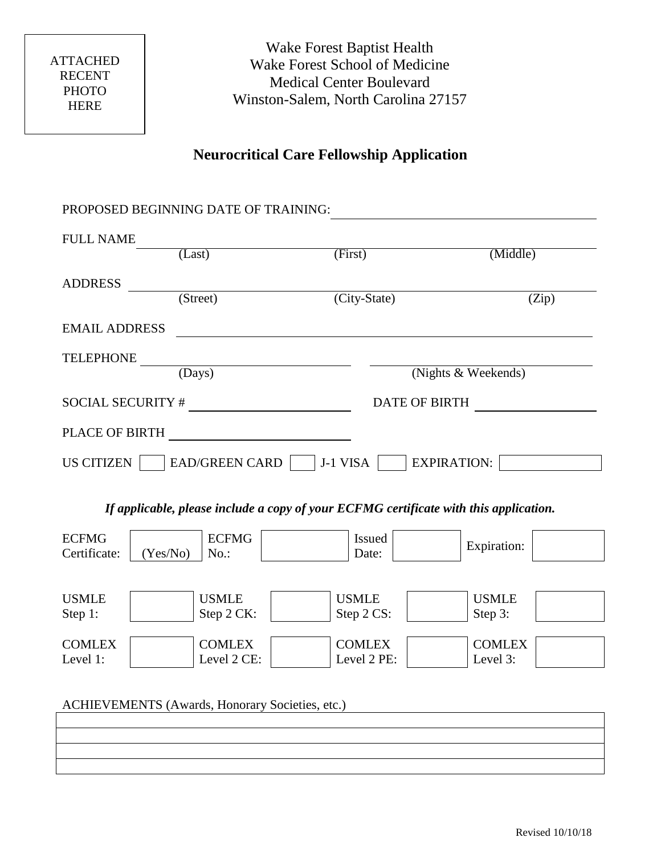# **Neurocritical Care Fellowship Application**

| PROPOSED BEGINNING DATE OF TRAINING:                                                  |                                                    |                                                             |                           |  |
|---------------------------------------------------------------------------------------|----------------------------------------------------|-------------------------------------------------------------|---------------------------|--|
| <b>FULL NAME</b>                                                                      | (Last)                                             | (First)                                                     | (Middle)                  |  |
| <b>ADDRESS</b>                                                                        | $\overline{\text{(Street)}}$                       | (City-State)                                                | (Zip)                     |  |
| <b>EMAIL ADDRESS</b>                                                                  | <u> 1989 - Johann John Stone, markin fizikar (</u> |                                                             |                           |  |
| TELEPHONE                                                                             | $\overline{(days)}$                                |                                                             | (Nights & Weekends)       |  |
|                                                                                       | SOCIAL SECURITY $\#$                               | DATE OF BIRTH                                               |                           |  |
| PLACE OF BIRTH                                                                        | <u> 1989 - Johann Barbara, martxa alemaniar a</u>  |                                                             |                           |  |
| US CITIZEN                                                                            |                                                    | $\vert$ EAD/GREEN CARD $\vert$ J-1 VISA $\vert$ EXPIRATION: |                           |  |
| If applicable, please include a copy of your ECFMG certificate with this application. |                                                    |                                                             |                           |  |
| <b>ECFMG</b><br>Certificate:<br>(Yes/No)                                              | <b>ECFMG</b><br>No.:                               | Issued<br>Date:                                             | <b>Expiration:</b>        |  |
| <b>USMLE</b><br>Step 1:                                                               | <b>USMLE</b><br>Step 2 CK:                         | <b>USMLE</b><br>Step 2 CS:                                  | <b>USMLE</b><br>Step 3:   |  |
| <b>COMLEX</b><br>Level 1:                                                             | <b>COMLEX</b><br>Level 2 CE:                       | <b>COMLEX</b><br>Level 2 PE:                                | <b>COMLEX</b><br>Level 3: |  |
| ACHIEVEMENTS (Awards, Honorary Societies, etc.)                                       |                                                    |                                                             |                           |  |
|                                                                                       |                                                    |                                                             |                           |  |